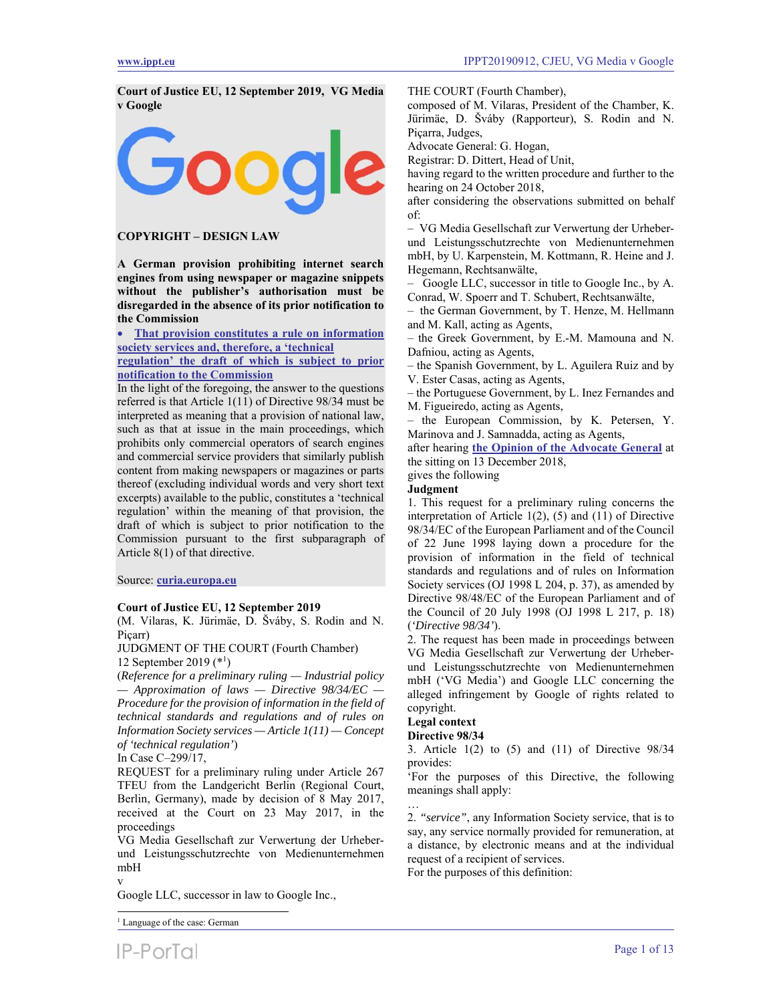**Court of Justice EU, 12 September 2019, VG Media v Google** 



# **COPYRIGHT – DESIGN LAW**

**A German provision prohibiting internet search engines from using newspaper or magazine snippets without the publisher's authorisation must be disregarded in the absence of its prior notification to the Commission** 

 **That provision constitutes a rule on information society services and, therefore, a 'technical** 

**regulation' the draft of which is subject to prior notification to the Commission**

In the light of the foregoing, the answer to the questions referred is that Article 1(11) of Directive 98/34 must be interpreted as meaning that a provision of national law, such as that at issue in the main proceedings, which prohibits only commercial operators of search engines and commercial service providers that similarly publish content from making newspapers or magazines or parts thereof (excluding individual words and very short text excerpts) available to the public, constitutes a 'technical regulation' within the meaning of that provision, the draft of which is subject to prior notification to the Commission pursuant to the first subparagraph of Article 8(1) of that directive.

Source: **curia.europa.eu**

## **Court of Justice EU, 12 September 2019**

(M. Vilaras, K. Jürimäe, D. Šváby, S. Rodin and N. Piçarr)

JUDGMENT OF THE COURT (Fourth Chamber) 12 September 2019 (\*1 )

(*Reference for a preliminary ruling — Industrial policy — Approximation of laws — Directive 98/34/EC — Procedure for the provision of information in the field of technical standards and regulations and of rules on Information Society services — Article 1(11) — Concept of 'technical regulation'*)

In Case C–299/17,

REQUEST for a preliminary ruling under Article 267 TFEU from the Landgericht Berlin (Regional Court, Berlin, Germany), made by decision of 8 May 2017, received at the Court on 23 May 2017, in the proceedings

VG Media Gesellschaft zur Verwertung der Urheberund Leistungsschutzrechte von Medienunternehmen mbH v

Google LLC, successor in law to Google Inc.,

<sup>1</sup> Language of the case: German

l

THE COURT (Fourth Chamber),

composed of M. Vilaras, President of the Chamber, K. Jürimäe, D. Šváby (Rapporteur), S. Rodin and N. Piçarra, Judges,

Advocate General: G. Hogan,

Registrar: D. Dittert, Head of Unit,

having regard to the written procedure and further to the hearing on 24 October 2018,

after considering the observations submitted on behalf of:

– VG Media Gesellschaft zur Verwertung der Urheberund Leistungsschutzrechte von Medienunternehmen mbH, by U. Karpenstein, M. Kottmann, R. Heine and J. Hegemann, Rechtsanwälte,

– Google LLC, successor in title to Google Inc., by A. Conrad, W. Spoerr and T. Schubert, Rechtsanwälte,

– the German Government, by T. Henze, M. Hellmann and M. Kall, acting as Agents,

– the Greek Government, by E.-M. Mamouna and N. Dafniou, acting as Agents,

– the Spanish Government, by L. Aguilera Ruiz and by V. Ester Casas, acting as Agents,

– the Portuguese Government, by L. Inez Fernandes and M. Figueiredo, acting as Agents,

– the European Commission, by K. Petersen, Y. Marinova and J. Samnadda, acting as Agents,

after hearing **the Opinion of the Advocate General** at the sitting on 13 December 2018, gives the following

# **Judgment**

1. This request for a preliminary ruling concerns the interpretation of Article 1(2), (5) and (11) of Directive 98/34/EC of the European Parliament and of the Council of 22 June 1998 laying down a procedure for the provision of information in the field of technical standards and regulations and of rules on Information Society services (OJ 1998 L 204, p. 37), as amended by Directive 98/48/EC of the European Parliament and of the Council of 20 July 1998 (OJ 1998 L 217, p. 18) (*'Directive 98/34'*).

2. The request has been made in proceedings between VG Media Gesellschaft zur Verwertung der Urheberund Leistungsschutzrechte von Medienunternehmen mbH ('VG Media') and Google LLC concerning the alleged infringement by Google of rights related to copyright.

# **Legal context**

# **Directive 98/34**

3. Article 1(2) to (5) and (11) of Directive 98/34 provides:

'For the purposes of this Directive, the following meanings shall apply:

… 2. *"service"*, any Information Society service, that is to say, any service normally provided for remuneration, at a distance, by electronic means and at the individual request of a recipient of services.

For the purposes of this definition: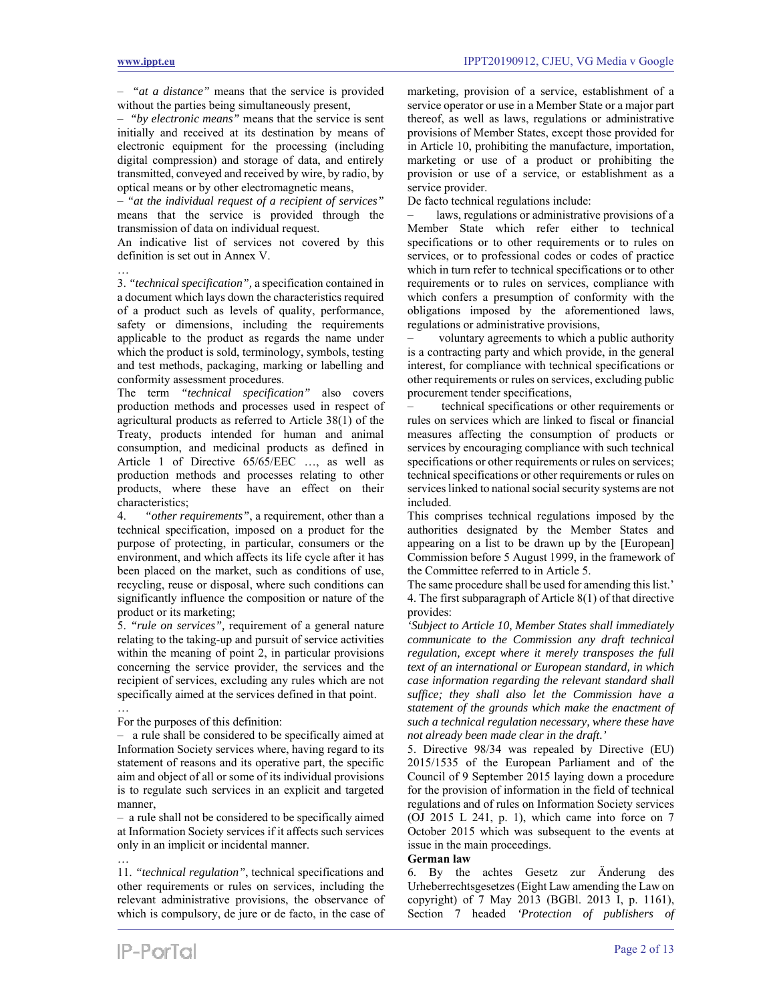…

– *"at a distance"* means that the service is provided without the parties being simultaneously present,

– *"by electronic means"* means that the service is sent initially and received at its destination by means of electronic equipment for the processing (including digital compression) and storage of data, and entirely transmitted, conveyed and received by wire, by radio, by optical means or by other electromagnetic means,

– *"at the individual request of a recipient of services"* means that the service is provided through the transmission of data on individual request.

An indicative list of services not covered by this definition is set out in Annex V.

3. *"technical specification",* a specification contained in a document which lays down the characteristics required of a product such as levels of quality, performance, safety or dimensions, including the requirements applicable to the product as regards the name under which the product is sold, terminology, symbols, testing and test methods, packaging, marking or labelling and conformity assessment procedures.

The term *"technical specification"* also covers production methods and processes used in respect of agricultural products as referred to Article 38(1) of the Treaty, products intended for human and animal consumption, and medicinal products as defined in Article 1 of Directive 65/65/EEC …, as well as production methods and processes relating to other products, where these have an effect on their characteristics;

4. *"other requirements"*, a requirement, other than a technical specification, imposed on a product for the purpose of protecting, in particular, consumers or the environment, and which affects its life cycle after it has been placed on the market, such as conditions of use, recycling, reuse or disposal, where such conditions can significantly influence the composition or nature of the product or its marketing;

5. *"rule on services",* requirement of a general nature relating to the taking-up and pursuit of service activities within the meaning of point 2, in particular provisions concerning the service provider, the services and the recipient of services, excluding any rules which are not specifically aimed at the services defined in that point.

For the purposes of this definition:

…

…

– a rule shall be considered to be specifically aimed at Information Society services where, having regard to its statement of reasons and its operative part, the specific aim and object of all or some of its individual provisions is to regulate such services in an explicit and targeted manner,

– a rule shall not be considered to be specifically aimed at Information Society services if it affects such services only in an implicit or incidental manner.

11. *"technical regulation"*, technical specifications and other requirements or rules on services, including the relevant administrative provisions, the observance of which is compulsory, de jure or de facto, in the case of

marketing, provision of a service, establishment of a service operator or use in a Member State or a major part thereof, as well as laws, regulations or administrative provisions of Member States, except those provided for in Article 10, prohibiting the manufacture, importation, marketing or use of a product or prohibiting the provision or use of a service, or establishment as a service provider.

De facto technical regulations include:

laws, regulations or administrative provisions of a Member State which refer either to technical specifications or to other requirements or to rules on services, or to professional codes or codes of practice which in turn refer to technical specifications or to other requirements or to rules on services, compliance with which confers a presumption of conformity with the obligations imposed by the aforementioned laws, regulations or administrative provisions,

voluntary agreements to which a public authority is a contracting party and which provide, in the general interest, for compliance with technical specifications or other requirements or rules on services, excluding public procurement tender specifications,

– technical specifications or other requirements or rules on services which are linked to fiscal or financial measures affecting the consumption of products or services by encouraging compliance with such technical specifications or other requirements or rules on services; technical specifications or other requirements or rules on services linked to national social security systems are not included.

This comprises technical regulations imposed by the authorities designated by the Member States and appearing on a list to be drawn up by the [European] Commission before 5 August 1999, in the framework of the Committee referred to in Article 5.

The same procedure shall be used for amending this list.' 4. The first subparagraph of Article 8(1) of that directive provides:

*'Subject to Article 10, Member States shall immediately communicate to the Commission any draft technical regulation, except where it merely transposes the full text of an international or European standard, in which case information regarding the relevant standard shall suffice; they shall also let the Commission have a statement of the grounds which make the enactment of such a technical regulation necessary, where these have not already been made clear in the draft.'* 

5. Directive 98/34 was repealed by Directive (EU) 2015/1535 of the European Parliament and of the Council of 9 September 2015 laying down a procedure for the provision of information in the field of technical regulations and of rules on Information Society services (OJ 2015 L 241, p. 1), which came into force on 7 October 2015 which was subsequent to the events at issue in the main proceedings.

#### **German law**

6. By the achtes Gesetz zur Änderung des Urheberrechtsgesetzes (Eight Law amending the Law on copyright) of 7 May 2013 (BGBl. 2013 I, p. 1161), Section 7 headed *'Protection of publishers of*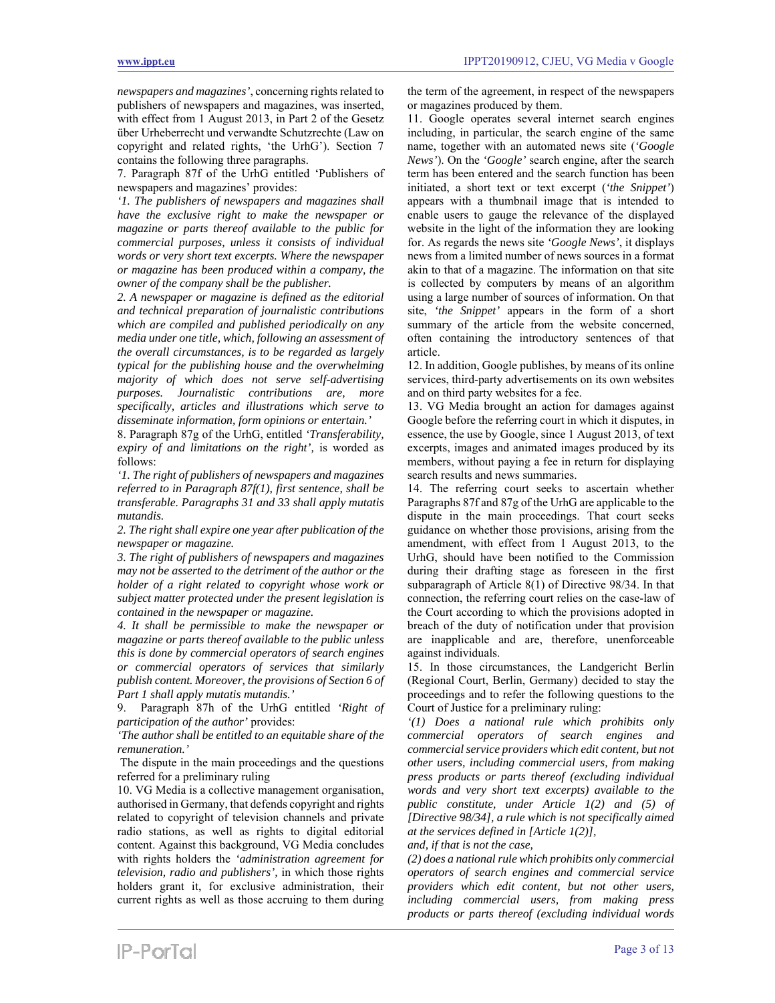*newspapers and magazines'*, concerning rights related to publishers of newspapers and magazines, was inserted, with effect from 1 August 2013, in Part 2 of the Gesetz über Urheberrecht und verwandte Schutzrechte (Law on copyright and related rights, 'the UrhG'). Section 7 contains the following three paragraphs.

7. Paragraph 87f of the UrhG entitled 'Publishers of newspapers and magazines' provides:

*'1. The publishers of newspapers and magazines shall have the exclusive right to make the newspaper or magazine or parts thereof available to the public for commercial purposes, unless it consists of individual words or very short text excerpts. Where the newspaper or magazine has been produced within a company, the owner of the company shall be the publisher.* 

*2. A newspaper or magazine is defined as the editorial and technical preparation of journalistic contributions which are compiled and published periodically on any media under one title, which, following an assessment of the overall circumstances, is to be regarded as largely typical for the publishing house and the overwhelming majority of which does not serve self-advertising purposes. Journalistic contributions are, more specifically, articles and illustrations which serve to disseminate information, form opinions or entertain.'* 

8. Paragraph 87g of the UrhG, entitled *'Transferability, expiry of and limitations on the right',* is worded as follows:

*'1. The right of publishers of newspapers and magazines referred to in Paragraph 87f(1), first sentence, shall be transferable. Paragraphs 31 and 33 shall apply mutatis mutandis.* 

*2. The right shall expire one year after publication of the newspaper or magazine.* 

*3. The right of publishers of newspapers and magazines may not be asserted to the detriment of the author or the holder of a right related to copyright whose work or subject matter protected under the present legislation is contained in the newspaper or magazine.* 

*4. It shall be permissible to make the newspaper or magazine or parts thereof available to the public unless this is done by commercial operators of search engines or commercial operators of services that similarly publish content. Moreover, the provisions of Section 6 of Part 1 shall apply mutatis mutandis.'* 

9. Paragraph 87h of the UrhG entitled *'Right of participation of the author'* provides:

*'The author shall be entitled to an equitable share of the remuneration.'* 

 The dispute in the main proceedings and the questions referred for a preliminary ruling

10. VG Media is a collective management organisation, authorised in Germany, that defends copyright and rights related to copyright of television channels and private radio stations, as well as rights to digital editorial content. Against this background, VG Media concludes with rights holders the *'administration agreement for television, radio and publishers',* in which those rights holders grant it, for exclusive administration, their current rights as well as those accruing to them during

the term of the agreement, in respect of the newspapers or magazines produced by them.

11. Google operates several internet search engines including, in particular, the search engine of the same name, together with an automated news site (*'Google News'*). On the *'Google'* search engine, after the search term has been entered and the search function has been initiated, a short text or text excerpt (*'the Snippet'*) appears with a thumbnail image that is intended to enable users to gauge the relevance of the displayed website in the light of the information they are looking for. As regards the news site *'Google News'*, it displays news from a limited number of news sources in a format akin to that of a magazine. The information on that site is collected by computers by means of an algorithm using a large number of sources of information. On that site, *'the Snippet'* appears in the form of a short summary of the article from the website concerned, often containing the introductory sentences of that article.

12. In addition, Google publishes, by means of its online services, third-party advertisements on its own websites and on third party websites for a fee.

13. VG Media brought an action for damages against Google before the referring court in which it disputes, in essence, the use by Google, since 1 August 2013, of text excerpts, images and animated images produced by its members, without paying a fee in return for displaying search results and news summaries.

14. The referring court seeks to ascertain whether Paragraphs 87f and 87g of the UrhG are applicable to the dispute in the main proceedings. That court seeks guidance on whether those provisions, arising from the amendment, with effect from 1 August 2013, to the UrhG, should have been notified to the Commission during their drafting stage as foreseen in the first subparagraph of Article 8(1) of Directive 98/34. In that connection, the referring court relies on the case-law of the Court according to which the provisions adopted in breach of the duty of notification under that provision are inapplicable and are, therefore, unenforceable against individuals.

15. In those circumstances, the Landgericht Berlin (Regional Court, Berlin, Germany) decided to stay the proceedings and to refer the following questions to the Court of Justice for a preliminary ruling:

*'(1) Does a national rule which prohibits only commercial operators of search engines and commercial service providers which edit content, but not other users, including commercial users, from making press products or parts thereof (excluding individual words and very short text excerpts) available to the public constitute, under Article 1(2) and (5) of [Directive 98/34], a rule which is not specifically aimed at the services defined in [Article 1(2)],* 

*and, if that is not the case,* 

*(2) does a national rule which prohibits only commercial operators of search engines and commercial service providers which edit content, but not other users, including commercial users, from making press products or parts thereof (excluding individual words*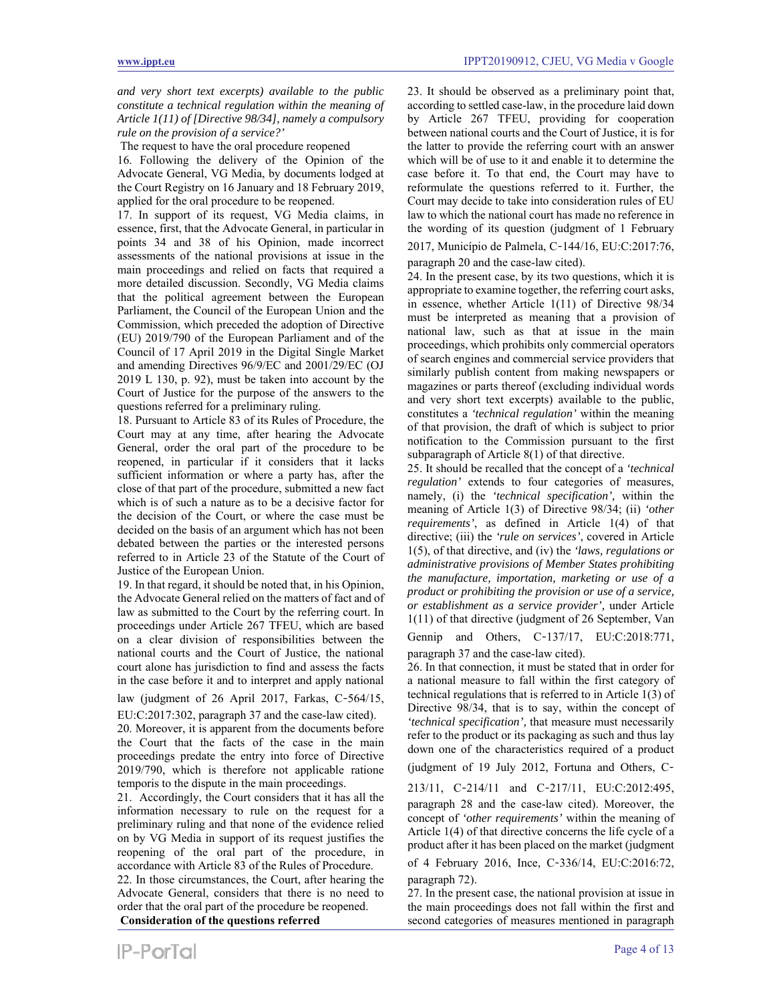*and very short text excerpts) available to the public constitute a technical regulation within the meaning of Article 1(11) of [Directive 98/34], namely a compulsory rule on the provision of a service?'* 

The request to have the oral procedure reopened

16. Following the delivery of the Opinion of the Advocate General, VG Media, by documents lodged at the Court Registry on 16 January and 18 February 2019, applied for the oral procedure to be reopened.

17. In support of its request, VG Media claims, in essence, first, that the Advocate General, in particular in points 34 and 38 of his Opinion, made incorrect assessments of the national provisions at issue in the main proceedings and relied on facts that required a more detailed discussion. Secondly, VG Media claims that the political agreement between the European Parliament, the Council of the European Union and the Commission, which preceded the adoption of Directive (EU) 2019/790 of the European Parliament and of the Council of 17 April 2019 in the Digital Single Market and amending Directives 96/9/EC and 2001/29/EC (OJ 2019 L 130, p. 92), must be taken into account by the Court of Justice for the purpose of the answers to the questions referred for a preliminary ruling.

18. Pursuant to Article 83 of its Rules of Procedure, the Court may at any time, after hearing the Advocate General, order the oral part of the procedure to be reopened, in particular if it considers that it lacks sufficient information or where a party has, after the close of that part of the procedure, submitted a new fact which is of such a nature as to be a decisive factor for the decision of the Court, or where the case must be decided on the basis of an argument which has not been debated between the parties or the interested persons referred to in Article 23 of the Statute of the Court of Justice of the European Union.

19. In that regard, it should be noted that, in his Opinion, the Advocate General relied on the matters of fact and of law as submitted to the Court by the referring court. In proceedings under Article 267 TFEU, which are based on a clear division of responsibilities between the national courts and the Court of Justice, the national court alone has jurisdiction to find and assess the facts in the case before it and to interpret and apply national

law (judgment of 26 April 2017, Farkas, C‑564/15, EU:C:2017:302, paragraph 37 and the case-law cited).

20. Moreover, it is apparent from the documents before the Court that the facts of the case in the main proceedings predate the entry into force of Directive 2019/790, which is therefore not applicable ratione temporis to the dispute in the main proceedings.

21. Accordingly, the Court considers that it has all the information necessary to rule on the request for a preliminary ruling and that none of the evidence relied on by VG Media in support of its request justifies the reopening of the oral part of the procedure, in accordance with Article 83 of the Rules of Procedure. 22. In those circumstances, the Court, after hearing the

Advocate General, considers that there is no need to order that the oral part of the procedure be reopened.  **Consideration of the questions referred** 

23. It should be observed as a preliminary point that, according to settled case-law, in the procedure laid down by Article 267 TFEU, providing for cooperation between national courts and the Court of Justice, it is for the latter to provide the referring court with an answer which will be of use to it and enable it to determine the case before it. To that end, the Court may have to reformulate the questions referred to it. Further, the Court may decide to take into consideration rules of EU law to which the national court has made no reference in the wording of its question (judgment of 1 February

2017, Município de Palmela, C‑144/16, EU:C:2017:76, paragraph 20 and the case-law cited).

24. In the present case, by its two questions, which it is appropriate to examine together, the referring court asks, in essence, whether Article 1(11) of Directive 98/34 must be interpreted as meaning that a provision of national law, such as that at issue in the main proceedings, which prohibits only commercial operators of search engines and commercial service providers that similarly publish content from making newspapers or magazines or parts thereof (excluding individual words and very short text excerpts) available to the public, constitutes a *'technical regulation'* within the meaning of that provision, the draft of which is subject to prior notification to the Commission pursuant to the first subparagraph of Article 8(1) of that directive.

25. It should be recalled that the concept of a *'technical regulation'* extends to four categories of measures, namely, (i) the *'technical specification',* within the meaning of Article 1(3) of Directive 98/34; (ii) *'other requirements'*, as defined in Article 1(4) of that directive; (iii) the *'rule on services'*, covered in Article 1(5), of that directive, and (iv) the *'laws, regulations or administrative provisions of Member States prohibiting the manufacture, importation, marketing or use of a product or prohibiting the provision or use of a service, or establishment as a service provider',* under Article 1(11) of that directive (judgment of 26 September, Van

Gennip and Others, C-137/17, EU:C:2018:771, paragraph 37 and the case-law cited).

26. In that connection, it must be stated that in order for a national measure to fall within the first category of technical regulations that is referred to in Article 1(3) of Directive 98/34, that is to say, within the concept of *'technical specification',* that measure must necessarily refer to the product or its packaging as such and thus lay down one of the characteristics required of a product

(judgment of 19 July 2012, Fortuna and Others, C‑

213/11, C‑214/11 and C‑217/11, EU:C:2012:495, paragraph 28 and the case-law cited). Moreover, the concept of *'other requirements'* within the meaning of Article 1(4) of that directive concerns the life cycle of a product after it has been placed on the market (judgment

of 4 February 2016, Ince, C‑336/14, EU:C:2016:72, paragraph 72).

27. In the present case, the national provision at issue in the main proceedings does not fall within the first and second categories of measures mentioned in paragraph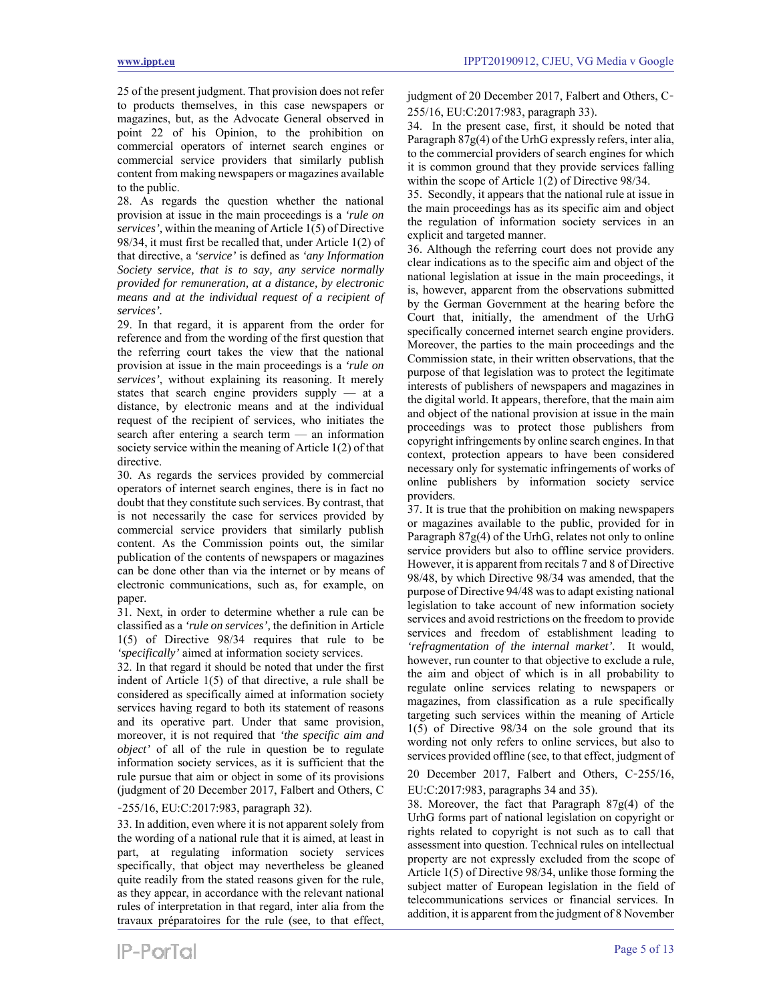25 of the present judgment. That provision does not refer to products themselves, in this case newspapers or magazines, but, as the Advocate General observed in point 22 of his Opinion, to the prohibition on commercial operators of internet search engines or commercial service providers that similarly publish content from making newspapers or magazines available to the public.

28. As regards the question whether the national provision at issue in the main proceedings is a *'rule on services',* within the meaning of Article 1(5) of Directive 98/34, it must first be recalled that, under Article 1(2) of that directive, a *'service'* is defined as *'any Information Society service, that is to say, any service normally provided for remuneration, at a distance, by electronic means and at the individual request of a recipient of services'.* 

29. In that regard, it is apparent from the order for reference and from the wording of the first question that the referring court takes the view that the national provision at issue in the main proceedings is a *'rule on services'*, without explaining its reasoning. It merely states that search engine providers supply — at a distance, by electronic means and at the individual request of the recipient of services, who initiates the search after entering a search term — an information society service within the meaning of Article 1(2) of that directive.

30. As regards the services provided by commercial operators of internet search engines, there is in fact no doubt that they constitute such services. By contrast, that is not necessarily the case for services provided by commercial service providers that similarly publish content. As the Commission points out, the similar publication of the contents of newspapers or magazines can be done other than via the internet or by means of electronic communications, such as, for example, on paper.

31. Next, in order to determine whether a rule can be classified as a *'rule on services',* the definition in Article 1(5) of Directive 98/34 requires that rule to be *'specifically'* aimed at information society services.

32. In that regard it should be noted that under the first indent of Article 1(5) of that directive, a rule shall be considered as specifically aimed at information society services having regard to both its statement of reasons and its operative part. Under that same provision, moreover, it is not required that *'the specific aim and object'* of all of the rule in question be to regulate information society services, as it is sufficient that the rule pursue that aim or object in some of its provisions (judgment of 20 December 2017, Falbert and Others, C

### ‑255/16, EU:C:2017:983, paragraph 32).

33. In addition, even where it is not apparent solely from the wording of a national rule that it is aimed, at least in part, at regulating information society services specifically, that object may nevertheless be gleaned quite readily from the stated reasons given for the rule, as they appear, in accordance with the relevant national rules of interpretation in that regard, inter alia from the travaux préparatoires for the rule (see, to that effect,

judgment of 20 December 2017, Falbert and Others, C-255/16, EU:C:2017:983, paragraph 33).

34. In the present case, first, it should be noted that Paragraph 87g(4) of the UrhG expressly refers, inter alia, to the commercial providers of search engines for which it is common ground that they provide services falling within the scope of Article 1(2) of Directive 98/34.

35. Secondly, it appears that the national rule at issue in the main proceedings has as its specific aim and object the regulation of information society services in an explicit and targeted manner.

36. Although the referring court does not provide any clear indications as to the specific aim and object of the national legislation at issue in the main proceedings, it is, however, apparent from the observations submitted by the German Government at the hearing before the Court that, initially, the amendment of the UrhG specifically concerned internet search engine providers. Moreover, the parties to the main proceedings and the Commission state, in their written observations, that the purpose of that legislation was to protect the legitimate interests of publishers of newspapers and magazines in the digital world. It appears, therefore, that the main aim and object of the national provision at issue in the main proceedings was to protect those publishers from copyright infringements by online search engines. In that context, protection appears to have been considered necessary only for systematic infringements of works of online publishers by information society service providers.

37. It is true that the prohibition on making newspapers or magazines available to the public, provided for in Paragraph  $87g(4)$  of the UrhG, relates not only to online service providers but also to offline service providers. However, it is apparent from recitals 7 and 8 of Directive 98/48, by which Directive 98/34 was amended, that the purpose of Directive 94/48 was to adapt existing national legislation to take account of new information society services and avoid restrictions on the freedom to provide services and freedom of establishment leading to *'refragmentation of the internal market'.* It would, however, run counter to that objective to exclude a rule, the aim and object of which is in all probability to regulate online services relating to newspapers or magazines, from classification as a rule specifically targeting such services within the meaning of Article 1(5) of Directive 98/34 on the sole ground that its wording not only refers to online services, but also to services provided offline (see, to that effect, judgment of

20 December 2017, Falbert and Others, C‑255/16, EU:C:2017:983, paragraphs 34 and 35).

38. Moreover, the fact that Paragraph 87g(4) of the UrhG forms part of national legislation on copyright or rights related to copyright is not such as to call that assessment into question. Technical rules on intellectual property are not expressly excluded from the scope of Article 1(5) of Directive 98/34, unlike those forming the subject matter of European legislation in the field of telecommunications services or financial services. In addition, it is apparent from the judgment of 8 November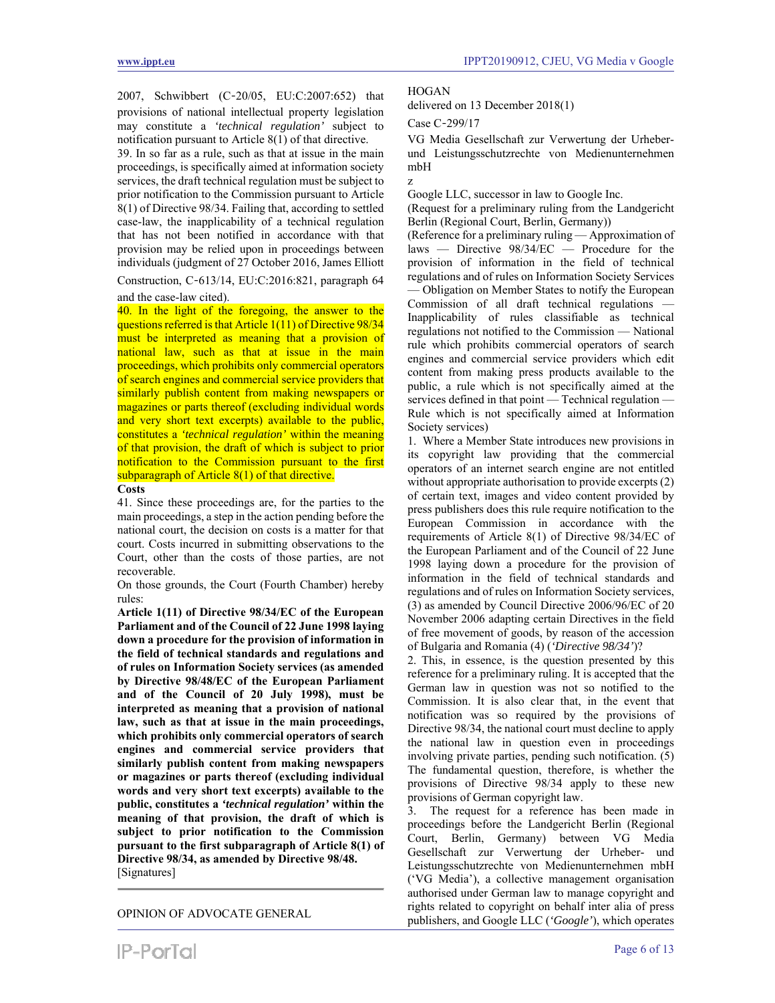2007, Schwibbert (C‑20/05, EU:C:2007:652) that provisions of national intellectual property legislation may constitute a *'technical regulation'* subject to notification pursuant to Article 8(1) of that directive.

39. In so far as a rule, such as that at issue in the main proceedings, is specifically aimed at information society services, the draft technical regulation must be subject to prior notification to the Commission pursuant to Article 8(1) of Directive 98/34. Failing that, according to settled case-law, the inapplicability of a technical regulation that has not been notified in accordance with that provision may be relied upon in proceedings between individuals (judgment of 27 October 2016, James Elliott

Construction, C‑613/14, EU:C:2016:821, paragraph 64 and the case-law cited).

40. In the light of the foregoing, the answer to the questions referred is that Article 1(11) of Directive 98/34 must be interpreted as meaning that a provision of national law, such as that at issue in the main proceedings, which prohibits only commercial operators of search engines and commercial service providers that similarly publish content from making newspapers or magazines or parts thereof (excluding individual words and very short text excerpts) available to the public, constitutes a *'technical regulation'* within the meaning of that provision, the draft of which is subject to prior notification to the Commission pursuant to the first subparagraph of Article 8(1) of that directive.

### **Costs**

41. Since these proceedings are, for the parties to the main proceedings, a step in the action pending before the national court, the decision on costs is a matter for that court. Costs incurred in submitting observations to the Court, other than the costs of those parties, are not recoverable.

On those grounds, the Court (Fourth Chamber) hereby rules:

**Article 1(11) of Directive 98/34/EC of the European Parliament and of the Council of 22 June 1998 laying down a procedure for the provision of information in the field of technical standards and regulations and of rules on Information Society services (as amended by Directive 98/48/EC of the European Parliament and of the Council of 20 July 1998), must be interpreted as meaning that a provision of national law, such as that at issue in the main proceedings, which prohibits only commercial operators of search engines and commercial service providers that similarly publish content from making newspapers or magazines or parts thereof (excluding individual words and very short text excerpts) available to the public, constitutes a** *'technical regulation'* **within the meaning of that provision, the draft of which is subject to prior notification to the Commission pursuant to the first subparagraph of Article 8(1) of Directive 98/34, as amended by Directive 98/48.**  [Signatures]

OPINION OF ADVOCATE GENERAL

#### **HOGAN**

delivered on 13 December 2018(1)

Case C‑299/17

VG Media Gesellschaft zur Verwertung der Urheberund Leistungsschutzrechte von Medienunternehmen mbH z

Google LLC, successor in law to Google Inc.

(Request for a preliminary ruling from the Landgericht Berlin (Regional Court, Berlin, Germany))

(Reference for a preliminary ruling — Approximation of laws — Directive 98/34/EC — Procedure for the provision of information in the field of technical regulations and of rules on Information Society Services — Obligation on Member States to notify the European Commission of all draft technical regulations — Inapplicability of rules classifiable as technical regulations not notified to the Commission — National rule which prohibits commercial operators of search engines and commercial service providers which edit content from making press products available to the public, a rule which is not specifically aimed at the services defined in that point — Technical regulation — Rule which is not specifically aimed at Information Society services)

1. Where a Member State introduces new provisions in its copyright law providing that the commercial operators of an internet search engine are not entitled without appropriate authorisation to provide excerpts (2) of certain text, images and video content provided by press publishers does this rule require notification to the European Commission in accordance with the requirements of Article 8(1) of Directive 98/34/EC of the European Parliament and of the Council of 22 June 1998 laying down a procedure for the provision of information in the field of technical standards and regulations and of rules on Information Society services, (3) as amended by Council Directive 2006/96/EC of 20 November 2006 adapting certain Directives in the field of free movement of goods, by reason of the accession of Bulgaria and Romania (4) (*'Directive 98/34'*)?

2. This, in essence, is the question presented by this reference for a preliminary ruling. It is accepted that the German law in question was not so notified to the Commission. It is also clear that, in the event that notification was so required by the provisions of Directive 98/34, the national court must decline to apply the national law in question even in proceedings involving private parties, pending such notification. (5) The fundamental question, therefore, is whether the provisions of Directive 98/34 apply to these new provisions of German copyright law.

3. The request for a reference has been made in proceedings before the Landgericht Berlin (Regional Court, Berlin, Germany) between VG Media Gesellschaft zur Verwertung der Urheber- und Leistungsschutzrechte von Medienunternehmen mbH ('VG Media'), a collective management organisation authorised under German law to manage copyright and rights related to copyright on behalf inter alia of press publishers, and Google LLC (*'Google'*), which operates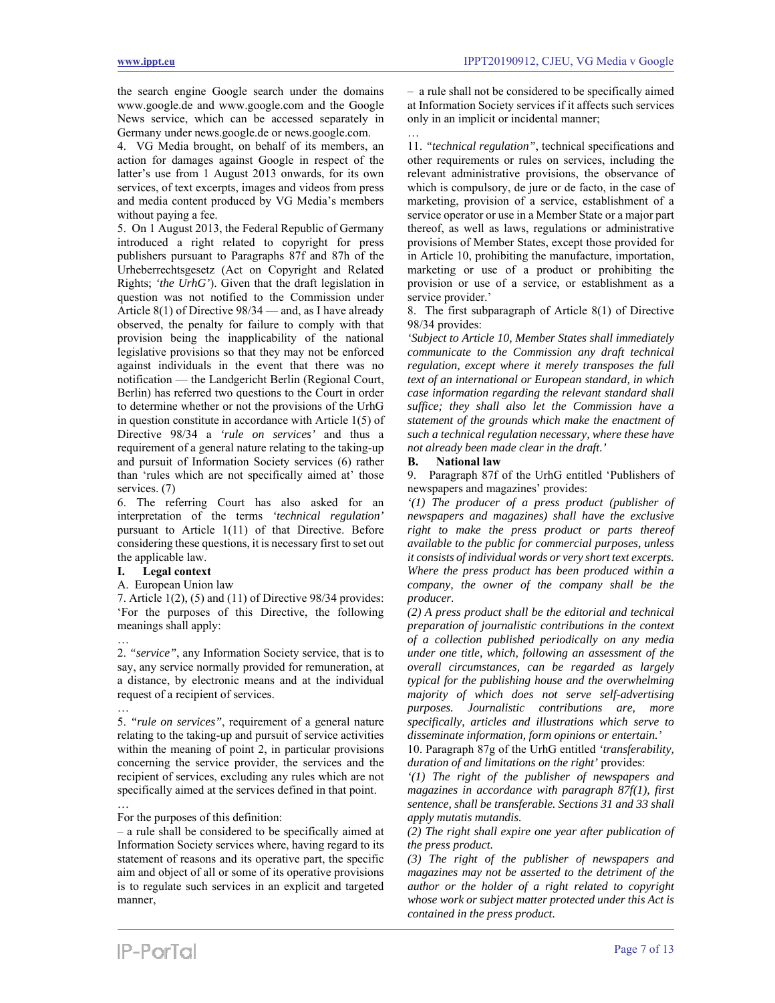the search engine Google search under the domains www.google.de and www.google.com and the Google News service, which can be accessed separately in Germany under news.google.de or news.google.com.

4. VG Media brought, on behalf of its members, an action for damages against Google in respect of the latter's use from 1 August 2013 onwards, for its own services, of text excerpts, images and videos from press and media content produced by VG Media's members without paying a fee.

5. On 1 August 2013, the Federal Republic of Germany introduced a right related to copyright for press publishers pursuant to Paragraphs 87f and 87h of the Urheberrechtsgesetz (Act on Copyright and Related Rights; *'the UrhG'*). Given that the draft legislation in question was not notified to the Commission under Article 8(1) of Directive 98/34 — and, as I have already observed, the penalty for failure to comply with that provision being the inapplicability of the national legislative provisions so that they may not be enforced against individuals in the event that there was no notification — the Landgericht Berlin (Regional Court, Berlin) has referred two questions to the Court in order to determine whether or not the provisions of the UrhG in question constitute in accordance with Article 1(5) of Directive 98/34 a *'rule on services'* and thus a requirement of a general nature relating to the taking-up and pursuit of Information Society services (6) rather than 'rules which are not specifically aimed at' those services. (7)

6. The referring Court has also asked for an interpretation of the terms *'technical regulation'* pursuant to Article 1(11) of that Directive. Before considering these questions, it is necessary first to set out the applicable law.

#### **I. Legal context**

…

…

#### A. European Union law

7. Article 1(2), (5) and (11) of Directive 98/34 provides: 'For the purposes of this Directive, the following meanings shall apply:

2. *"service"*, any Information Society service, that is to say, any service normally provided for remuneration, at a distance, by electronic means and at the individual request of a recipient of services.

… 5. *"rule on services"*, requirement of a general nature relating to the taking-up and pursuit of service activities within the meaning of point 2, in particular provisions concerning the service provider, the services and the recipient of services, excluding any rules which are not specifically aimed at the services defined in that point.

For the purposes of this definition:

– a rule shall be considered to be specifically aimed at Information Society services where, having regard to its statement of reasons and its operative part, the specific aim and object of all or some of its operative provisions is to regulate such services in an explicit and targeted manner,

– a rule shall not be considered to be specifically aimed at Information Society services if it affects such services only in an implicit or incidental manner;

… 11. *"technical regulation"*, technical specifications and other requirements or rules on services, including the relevant administrative provisions, the observance of which is compulsory, de jure or de facto, in the case of marketing, provision of a service, establishment of a service operator or use in a Member State or a major part thereof, as well as laws, regulations or administrative provisions of Member States, except those provided for in Article 10, prohibiting the manufacture, importation, marketing or use of a product or prohibiting the provision or use of a service, or establishment as a service provider.'

8. The first subparagraph of Article 8(1) of Directive 98/34 provides:

*'Subject to Article 10, Member States shall immediately communicate to the Commission any draft technical regulation, except where it merely transposes the full text of an international or European standard, in which case information regarding the relevant standard shall suffice; they shall also let the Commission have a statement of the grounds which make the enactment of such a technical regulation necessary, where these have not already been made clear in the draft.'* 

#### **B. National law**

9. Paragraph 87f of the UrhG entitled 'Publishers of newspapers and magazines' provides:

*'(1) The producer of a press product (publisher of newspapers and magazines) shall have the exclusive right to make the press product or parts thereof available to the public for commercial purposes, unless it consists of individual words or very short text excerpts. Where the press product has been produced within a company, the owner of the company shall be the producer.* 

*(2) A press product shall be the editorial and technical preparation of journalistic contributions in the context of a collection published periodically on any media under one title, which, following an assessment of the overall circumstances, can be regarded as largely typical for the publishing house and the overwhelming majority of which does not serve self-advertising purposes. Journalistic contributions are, more specifically, articles and illustrations which serve to disseminate information, form opinions or entertain.'* 

10. Paragraph 87g of the UrhG entitled *'transferability, duration of and limitations on the right'* provides:

*'(1) The right of the publisher of newspapers and magazines in accordance with paragraph 87f(1), first sentence, shall be transferable. Sections 31 and 33 shall apply mutatis mutandis.* 

*(2) The right shall expire one year after publication of the press product.* 

*(3) The right of the publisher of newspapers and magazines may not be asserted to the detriment of the author or the holder of a right related to copyright whose work or subject matter protected under this Act is contained in the press product.*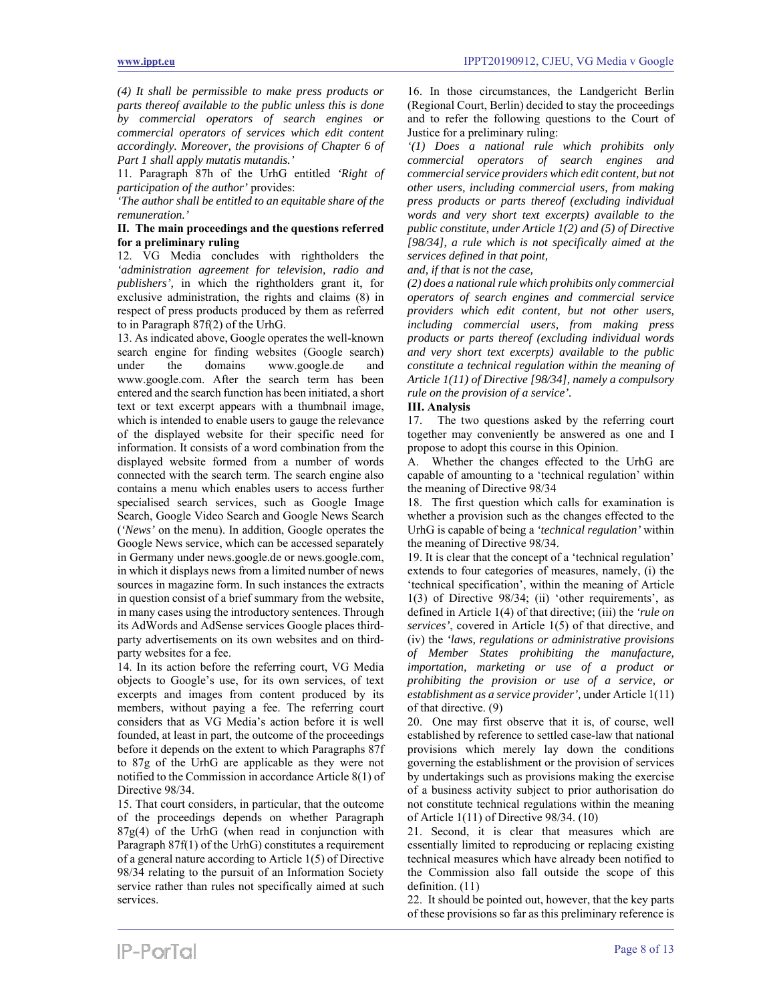*(4) It shall be permissible to make press products or parts thereof available to the public unless this is done by commercial operators of search engines or commercial operators of services which edit content accordingly. Moreover, the provisions of Chapter 6 of Part 1 shall apply mutatis mutandis.'* 

11. Paragraph 87h of the UrhG entitled *'Right of participation of the author'* provides:

*'The author shall be entitled to an equitable share of the remuneration.'* 

### **II. The main proceedings and the questions referred for a preliminary ruling**

12. VG Media concludes with rightholders the *'administration agreement for television, radio and publishers',* in which the rightholders grant it, for exclusive administration, the rights and claims (8) in respect of press products produced by them as referred to in Paragraph 87f(2) of the UrhG.

13. As indicated above, Google operates the well-known search engine for finding websites (Google search) under the domains www.google.de and www.google.com. After the search term has been entered and the search function has been initiated, a short text or text excerpt appears with a thumbnail image, which is intended to enable users to gauge the relevance of the displayed website for their specific need for information. It consists of a word combination from the displayed website formed from a number of words connected with the search term. The search engine also contains a menu which enables users to access further specialised search services, such as Google Image Search, Google Video Search and Google News Search (*'News'* on the menu). In addition, Google operates the Google News service, which can be accessed separately in Germany under news.google.de or news.google.com, in which it displays news from a limited number of news sources in magazine form. In such instances the extracts in question consist of a brief summary from the website, in many cases using the introductory sentences. Through its AdWords and AdSense services Google places thirdparty advertisements on its own websites and on thirdparty websites for a fee.

14. In its action before the referring court, VG Media objects to Google's use, for its own services, of text excerpts and images from content produced by its members, without paying a fee. The referring court considers that as VG Media's action before it is well founded, at least in part, the outcome of the proceedings before it depends on the extent to which Paragraphs 87f to 87g of the UrhG are applicable as they were not notified to the Commission in accordance Article 8(1) of Directive 98/34.

15. That court considers, in particular, that the outcome of the proceedings depends on whether Paragraph  $87g(4)$  of the UrhG (when read in conjunction with Paragraph 87f(1) of the UrhG) constitutes a requirement of a general nature according to Article 1(5) of Directive 98/34 relating to the pursuit of an Information Society service rather than rules not specifically aimed at such services.

16. In those circumstances, the Landgericht Berlin (Regional Court, Berlin) decided to stay the proceedings and to refer the following questions to the Court of Justice for a preliminary ruling:

*'(1) Does a national rule which prohibits only commercial operators of search engines and commercial service providers which edit content, but not other users, including commercial users, from making press products or parts thereof (excluding individual words and very short text excerpts) available to the public constitute, under Article 1(2) and (5) of Directive [98/34], a rule which is not specifically aimed at the services defined in that point,* 

#### *and, if that is not the case,*

*(2) does a national rule which prohibits only commercial operators of search engines and commercial service providers which edit content, but not other users, including commercial users, from making press products or parts thereof (excluding individual words and very short text excerpts) available to the public constitute a technical regulation within the meaning of Article 1(11) of Directive [98/34], namely a compulsory rule on the provision of a service'.* 

### **III. Analysis**

17. The two questions asked by the referring court together may conveniently be answered as one and I propose to adopt this course in this Opinion.

A. Whether the changes effected to the UrhG are capable of amounting to a 'technical regulation' within the meaning of Directive 98/34

18. The first question which calls for examination is whether a provision such as the changes effected to the UrhG is capable of being a *'technical regulation'* within the meaning of Directive 98/34.

19. It is clear that the concept of a 'technical regulation' extends to four categories of measures, namely, (i) the 'technical specification', within the meaning of Article 1(3) of Directive 98/34; (ii) 'other requirements', as defined in Article 1(4) of that directive; (iii) the *'rule on services'*, covered in Article 1(5) of that directive, and (iv) the *'laws, regulations or administrative provisions of Member States prohibiting the manufacture, importation, marketing or use of a product or prohibiting the provision or use of a service, or establishment as a service provider',* under Article 1(11) of that directive. (9)

20. One may first observe that it is, of course, well established by reference to settled case-law that national provisions which merely lay down the conditions governing the establishment or the provision of services by undertakings such as provisions making the exercise of a business activity subject to prior authorisation do not constitute technical regulations within the meaning of Article 1(11) of Directive 98/34. (10)

21. Second, it is clear that measures which are essentially limited to reproducing or replacing existing technical measures which have already been notified to the Commission also fall outside the scope of this definition. (11)

22. It should be pointed out, however, that the key parts of these provisions so far as this preliminary reference is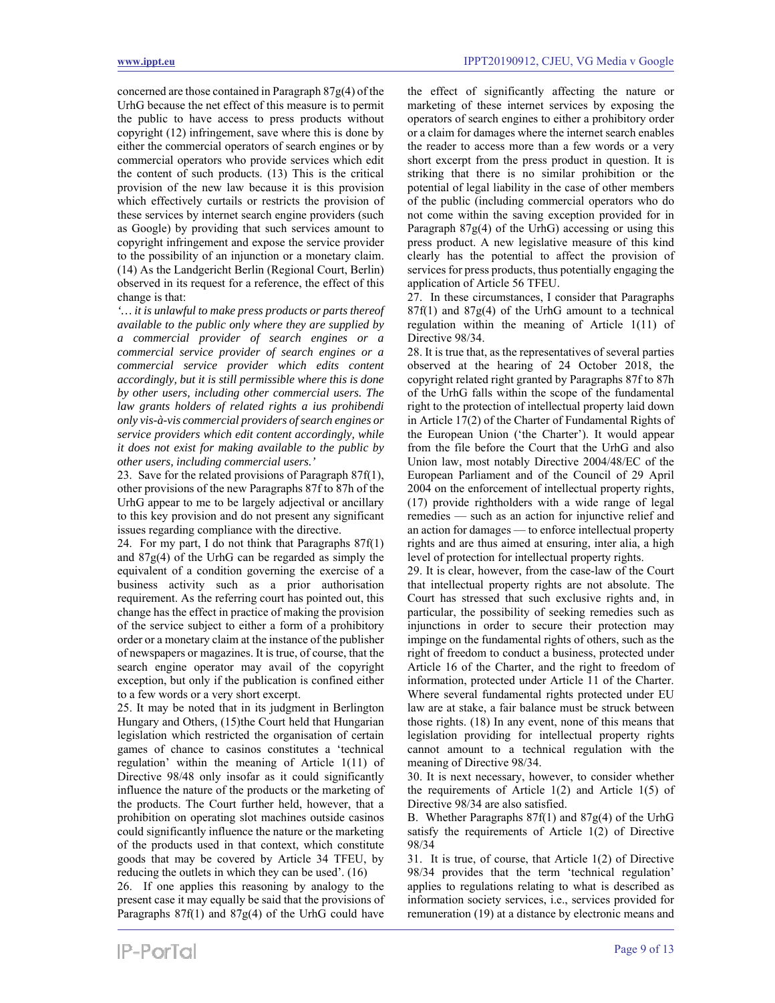concerned are those contained in Paragraph 87g(4) of the UrhG because the net effect of this measure is to permit the public to have access to press products without copyright (12) infringement, save where this is done by either the commercial operators of search engines or by commercial operators who provide services which edit the content of such products. (13) This is the critical provision of the new law because it is this provision which effectively curtails or restricts the provision of these services by internet search engine providers (such as Google) by providing that such services amount to copyright infringement and expose the service provider to the possibility of an injunction or a monetary claim. (14) As the Landgericht Berlin (Regional Court, Berlin) observed in its request for a reference, the effect of this change is that:

*'… it is unlawful to make press products or parts thereof available to the public only where they are supplied by a commercial provider of search engines or a commercial service provider of search engines or a commercial service provider which edits content accordingly, but it is still permissible where this is done by other users, including other commercial users. The law grants holders of related rights a ius prohibendi only vis-à-vis commercial providers of search engines or service providers which edit content accordingly, while it does not exist for making available to the public by other users, including commercial users.'* 

23. Save for the related provisions of Paragraph 87f(1), other provisions of the new Paragraphs 87f to 87h of the UrhG appear to me to be largely adjectival or ancillary to this key provision and do not present any significant issues regarding compliance with the directive.

24. For my part, I do not think that Paragraphs 87f(1) and 87g(4) of the UrhG can be regarded as simply the equivalent of a condition governing the exercise of a business activity such as a prior authorisation requirement. As the referring court has pointed out, this change has the effect in practice of making the provision of the service subject to either a form of a prohibitory order or a monetary claim at the instance of the publisher of newspapers or magazines. It is true, of course, that the search engine operator may avail of the copyright exception, but only if the publication is confined either to a few words or a very short excerpt.

25. It may be noted that in its judgment in Berlington Hungary and Others, (15)the Court held that Hungarian legislation which restricted the organisation of certain games of chance to casinos constitutes a 'technical regulation' within the meaning of Article 1(11) of Directive 98/48 only insofar as it could significantly influence the nature of the products or the marketing of the products. The Court further held, however, that a prohibition on operating slot machines outside casinos could significantly influence the nature or the marketing of the products used in that context, which constitute goods that may be covered by Article 34 TFEU, by reducing the outlets in which they can be used'. (16)

26. If one applies this reasoning by analogy to the present case it may equally be said that the provisions of Paragraphs 87f(1) and 87g(4) of the UrhG could have

the effect of significantly affecting the nature or marketing of these internet services by exposing the operators of search engines to either a prohibitory order or a claim for damages where the internet search enables the reader to access more than a few words or a very short excerpt from the press product in question. It is striking that there is no similar prohibition or the potential of legal liability in the case of other members of the public (including commercial operators who do not come within the saving exception provided for in Paragraph  $87g(4)$  of the UrhG) accessing or using this press product. A new legislative measure of this kind clearly has the potential to affect the provision of services for press products, thus potentially engaging the application of Article 56 TFEU.

27. In these circumstances, I consider that Paragraphs  $87f(1)$  and  $87g(4)$  of the UrhG amount to a technical regulation within the meaning of Article 1(11) of Directive 98/34.

28. It is true that, as the representatives of several parties observed at the hearing of 24 October 2018, the copyright related right granted by Paragraphs 87f to 87h of the UrhG falls within the scope of the fundamental right to the protection of intellectual property laid down in Article 17(2) of the Charter of Fundamental Rights of the European Union ('the Charter'). It would appear from the file before the Court that the UrhG and also Union law, most notably Directive 2004/48/EC of the European Parliament and of the Council of 29 April 2004 on the enforcement of intellectual property rights, (17) provide rightholders with a wide range of legal remedies — such as an action for injunctive relief and an action for damages — to enforce intellectual property rights and are thus aimed at ensuring, inter alia, a high level of protection for intellectual property rights.

29. It is clear, however, from the case-law of the Court that intellectual property rights are not absolute. The Court has stressed that such exclusive rights and, in particular, the possibility of seeking remedies such as injunctions in order to secure their protection may impinge on the fundamental rights of others, such as the right of freedom to conduct a business, protected under Article 16 of the Charter, and the right to freedom of information, protected under Article 11 of the Charter. Where several fundamental rights protected under EU law are at stake, a fair balance must be struck between those rights. (18) In any event, none of this means that legislation providing for intellectual property rights cannot amount to a technical regulation with the meaning of Directive 98/34.

30. It is next necessary, however, to consider whether the requirements of Article 1(2) and Article 1(5) of Directive 98/34 are also satisfied.

B. Whether Paragraphs 87f(1) and 87g(4) of the UrhG satisfy the requirements of Article 1(2) of Directive 98/34

31. It is true, of course, that Article 1(2) of Directive 98/34 provides that the term 'technical regulation' applies to regulations relating to what is described as information society services, i.e., services provided for remuneration (19) at a distance by electronic means and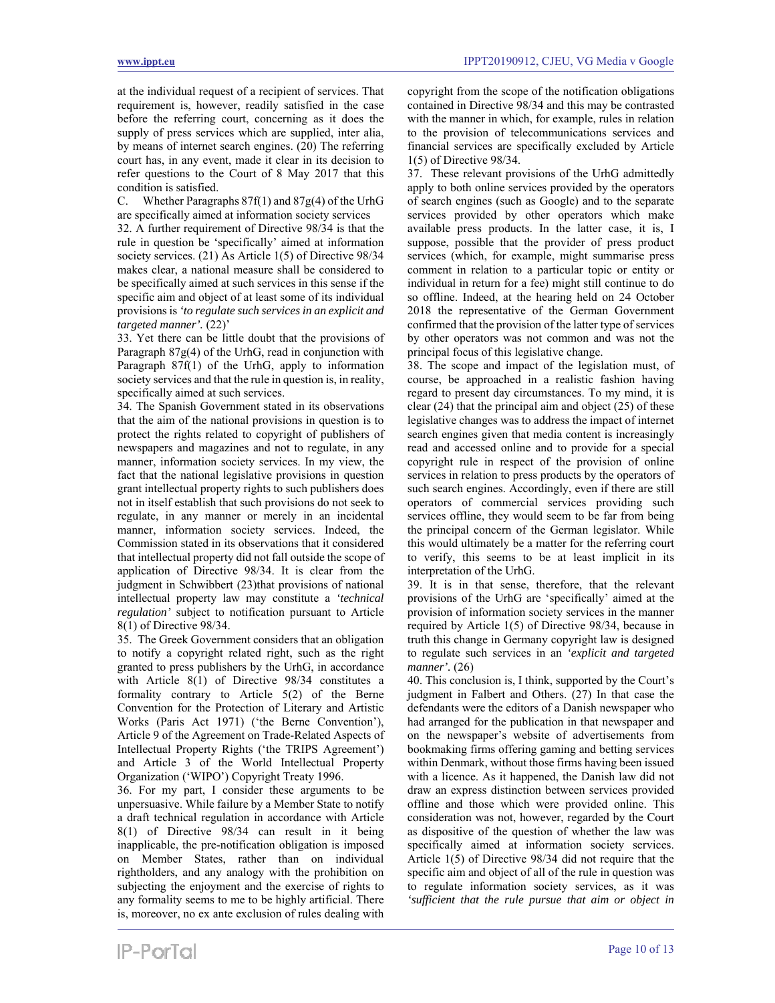at the individual request of a recipient of services. That requirement is, however, readily satisfied in the case before the referring court, concerning as it does the supply of press services which are supplied, inter alia, by means of internet search engines. (20) The referring court has, in any event, made it clear in its decision to refer questions to the Court of 8 May 2017 that this condition is satisfied.

C. Whether Paragraphs 87f(1) and 87g(4) of the UrhG are specifically aimed at information society services

32. A further requirement of Directive 98/34 is that the rule in question be 'specifically' aimed at information society services. (21) As Article 1(5) of Directive 98/34 makes clear, a national measure shall be considered to be specifically aimed at such services in this sense if the specific aim and object of at least some of its individual provisions is *'to regulate such services in an explicit and targeted manner'.* (22)'

33. Yet there can be little doubt that the provisions of Paragraph 87g(4) of the UrhG, read in conjunction with Paragraph 87f(1) of the UrhG, apply to information society services and that the rule in question is, in reality, specifically aimed at such services.

34. The Spanish Government stated in its observations that the aim of the national provisions in question is to protect the rights related to copyright of publishers of newspapers and magazines and not to regulate, in any manner, information society services. In my view, the fact that the national legislative provisions in question grant intellectual property rights to such publishers does not in itself establish that such provisions do not seek to regulate, in any manner or merely in an incidental manner, information society services. Indeed, the Commission stated in its observations that it considered that intellectual property did not fall outside the scope of application of Directive 98/34. It is clear from the judgment in Schwibbert (23)that provisions of national intellectual property law may constitute a *'technical regulation'* subject to notification pursuant to Article 8(1) of Directive 98/34.

35. The Greek Government considers that an obligation to notify a copyright related right, such as the right granted to press publishers by the UrhG, in accordance with Article 8(1) of Directive 98/34 constitutes a formality contrary to Article 5(2) of the Berne Convention for the Protection of Literary and Artistic Works (Paris Act 1971) ('the Berne Convention'), Article 9 of the Agreement on Trade-Related Aspects of Intellectual Property Rights ('the TRIPS Agreement') and Article 3 of the World Intellectual Property Organization ('WIPO') Copyright Treaty 1996.

36. For my part, I consider these arguments to be unpersuasive. While failure by a Member State to notify a draft technical regulation in accordance with Article 8(1) of Directive 98/34 can result in it being inapplicable, the pre-notification obligation is imposed on Member States, rather than on individual rightholders, and any analogy with the prohibition on subjecting the enjoyment and the exercise of rights to any formality seems to me to be highly artificial. There is, moreover, no ex ante exclusion of rules dealing with

copyright from the scope of the notification obligations contained in Directive 98/34 and this may be contrasted with the manner in which, for example, rules in relation to the provision of telecommunications services and financial services are specifically excluded by Article 1(5) of Directive 98/34.

37. These relevant provisions of the UrhG admittedly apply to both online services provided by the operators of search engines (such as Google) and to the separate services provided by other operators which make available press products. In the latter case, it is, I suppose, possible that the provider of press product services (which, for example, might summarise press comment in relation to a particular topic or entity or individual in return for a fee) might still continue to do so offline. Indeed, at the hearing held on 24 October 2018 the representative of the German Government confirmed that the provision of the latter type of services by other operators was not common and was not the principal focus of this legislative change.

38. The scope and impact of the legislation must, of course, be approached in a realistic fashion having regard to present day circumstances. To my mind, it is clear (24) that the principal aim and object (25) of these legislative changes was to address the impact of internet search engines given that media content is increasingly read and accessed online and to provide for a special copyright rule in respect of the provision of online services in relation to press products by the operators of such search engines. Accordingly, even if there are still operators of commercial services providing such services offline, they would seem to be far from being the principal concern of the German legislator. While this would ultimately be a matter for the referring court to verify, this seems to be at least implicit in its interpretation of the UrhG.

39. It is in that sense, therefore, that the relevant provisions of the UrhG are 'specifically' aimed at the provision of information society services in the manner required by Article 1(5) of Directive 98/34, because in truth this change in Germany copyright law is designed to regulate such services in an *'explicit and targeted manner'.* (26)

40. This conclusion is, I think, supported by the Court's judgment in Falbert and Others. (27) In that case the defendants were the editors of a Danish newspaper who had arranged for the publication in that newspaper and on the newspaper's website of advertisements from bookmaking firms offering gaming and betting services within Denmark, without those firms having been issued with a licence. As it happened, the Danish law did not draw an express distinction between services provided offline and those which were provided online. This consideration was not, however, regarded by the Court as dispositive of the question of whether the law was specifically aimed at information society services. Article 1(5) of Directive 98/34 did not require that the specific aim and object of all of the rule in question was to regulate information society services, as it was *'sufficient that the rule pursue that aim or object in*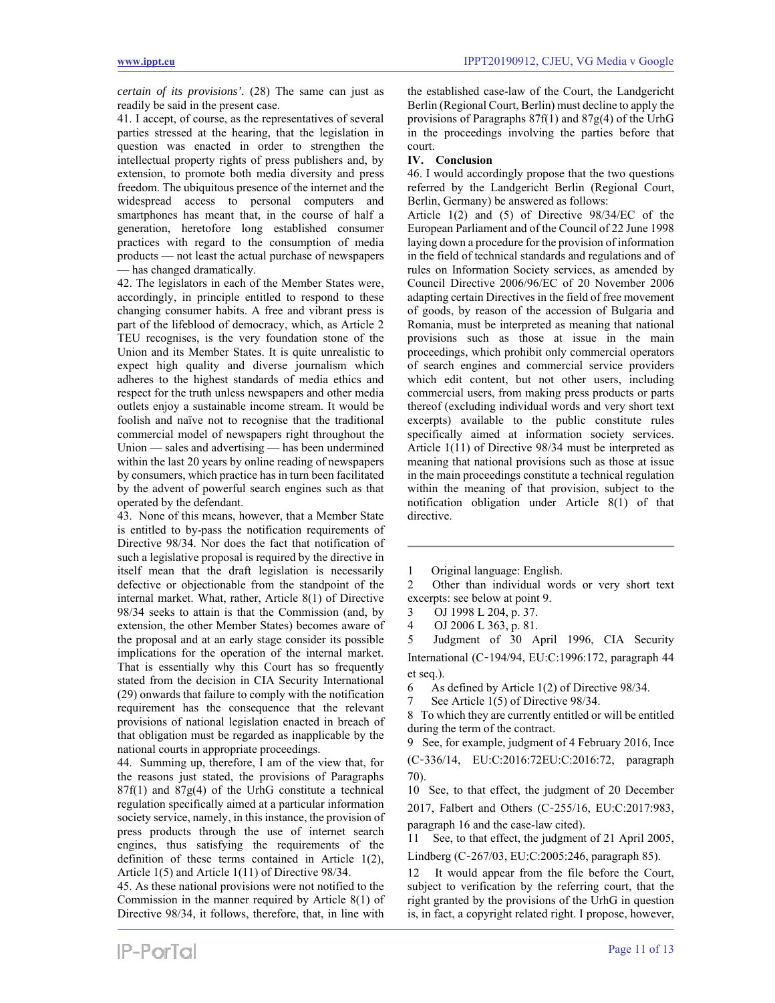*certain of its provisions'.* (28) The same can just as readily be said in the present case.

41. I accept, of course, as the representatives of several parties stressed at the hearing, that the legislation in question was enacted in order to strengthen the intellectual property rights of press publishers and, by extension, to promote both media diversity and press freedom. The ubiquitous presence of the internet and the widespread access to personal computers and smartphones has meant that, in the course of half a generation, heretofore long established consumer practices with regard to the consumption of media products — not least the actual purchase of newspapers — has changed dramatically.

42. The legislators in each of the Member States were, accordingly, in principle entitled to respond to these changing consumer habits. A free and vibrant press is part of the lifeblood of democracy, which, as Article 2 TEU recognises, is the very foundation stone of the Union and its Member States. It is quite unrealistic to expect high quality and diverse journalism which adheres to the highest standards of media ethics and respect for the truth unless newspapers and other media outlets enjoy a sustainable income stream. It would be foolish and naïve not to recognise that the traditional commercial model of newspapers right throughout the Union — sales and advertising — has been undermined within the last 20 years by online reading of newspapers by consumers, which practice has in turn been facilitated by the advent of powerful search engines such as that operated by the defendant.

43. None of this means, however, that a Member State is entitled to by-pass the notification requirements of Directive 98/34. Nor does the fact that notification of such a legislative proposal is required by the directive in itself mean that the draft legislation is necessarily defective or objectionable from the standpoint of the internal market. What, rather, Article 8(1) of Directive 98/34 seeks to attain is that the Commission (and, by extension, the other Member States) becomes aware of the proposal and at an early stage consider its possible implications for the operation of the internal market. That is essentially why this Court has so frequently stated from the decision in CIA Security International (29) onwards that failure to comply with the notification requirement has the consequence that the relevant provisions of national legislation enacted in breach of that obligation must be regarded as inapplicable by the national courts in appropriate proceedings.

44. Summing up, therefore, I am of the view that, for the reasons just stated, the provisions of Paragraphs  $87f(1)$  and  $87g(4)$  of the UrhG constitute a technical regulation specifically aimed at a particular information society service, namely, in this instance, the provision of press products through the use of internet search engines, thus satisfying the requirements of the definition of these terms contained in Article 1(2), Article 1(5) and Article 1(11) of Directive 98/34.

45. As these national provisions were not notified to the Commission in the manner required by Article 8(1) of Directive 98/34, it follows, therefore, that, in line with

the established case-law of the Court, the Landgericht Berlin (Regional Court, Berlin) must decline to apply the provisions of Paragraphs 87f(1) and 87g(4) of the UrhG in the proceedings involving the parties before that court.

#### **IV. Conclusion**

46. I would accordingly propose that the two questions referred by the Landgericht Berlin (Regional Court, Berlin, Germany) be answered as follows:

Article 1(2) and (5) of Directive 98/34/EC of the European Parliament and of the Council of 22 June 1998 laying down a procedure for the provision of information in the field of technical standards and regulations and of rules on Information Society services, as amended by Council Directive 2006/96/EC of 20 November 2006 adapting certain Directives in the field of free movement of goods, by reason of the accession of Bulgaria and Romania, must be interpreted as meaning that national provisions such as those at issue in the main proceedings, which prohibit only commercial operators of search engines and commercial service providers which edit content, but not other users, including commercial users, from making press products or parts thereof (excluding individual words and very short text excerpts) available to the public constitute rules specifically aimed at information society services. Article 1(11) of Directive 98/34 must be interpreted as meaning that national provisions such as those at issue in the main proceedings constitute a technical regulation within the meaning of that provision, subject to the notification obligation under Article 8(1) of that directive.

2 Other than individual words or very short text excerpts: see below at point 9.

3 OJ 1998 L 204, p. 37.

4 OJ 2006 L 363, p. 81.

Judgment of 30 April 1996, CIA Security International (C‑194/94, EU:C:1996:172, paragraph 44 et seq.).

6 As defined by Article 1(2) of Directive 98/34.

See Article 1(5) of Directive 98/34.

8 To which they are currently entitled or will be entitled during the term of the contract.

9 See, for example, judgment of 4 February 2016, Ince (C‑336/14, EU:C:2016:72EU:C:2016:72, paragraph 70).

10 See, to that effect, the judgment of 20 December 2017, Falbert and Others (C‑255/16, EU:C:2017:983, paragraph 16 and the case-law cited).

11 See, to that effect, the judgment of 21 April 2005, Lindberg (C‑267/03, EU:C:2005:246, paragraph 85).

It would appear from the file before the Court, subject to verification by the referring court, that the right granted by the provisions of the UrhG in question is, in fact, a copyright related right. I propose, however,

<sup>1</sup> Original language: English.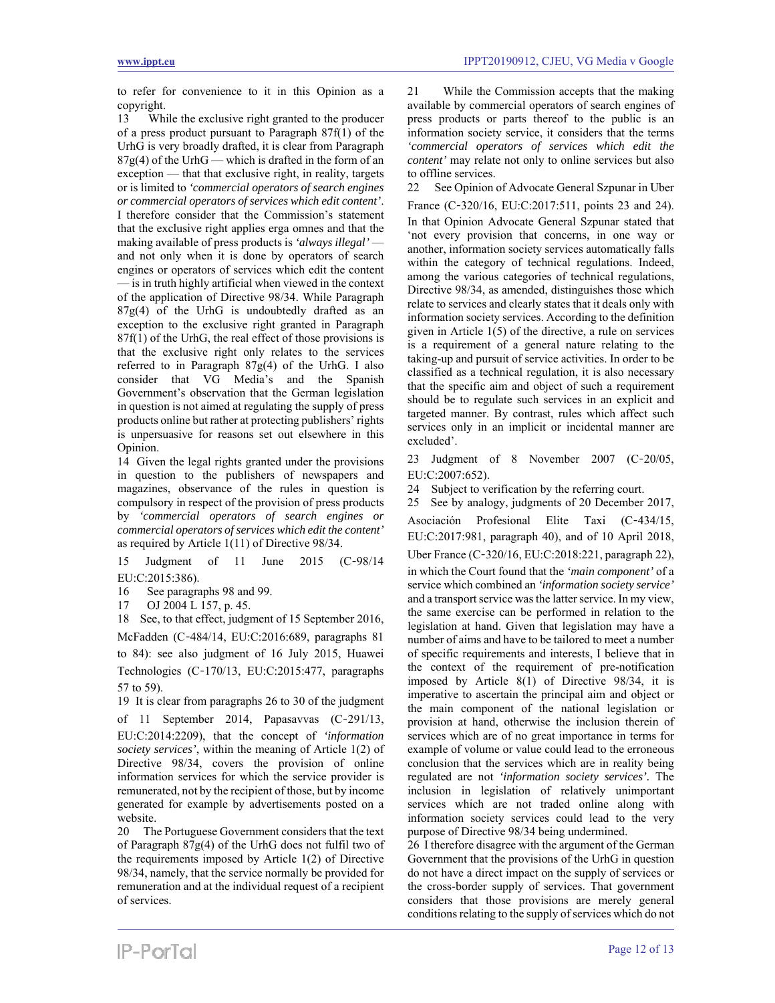to refer for convenience to it in this Opinion as a copyright.<br>13 Whi

While the exclusive right granted to the producer of a press product pursuant to Paragraph 87f(1) of the UrhG is very broadly drafted, it is clear from Paragraph  $87g(4)$  of the UrhG — which is drafted in the form of an exception — that that exclusive right, in reality, targets or is limited to *'commercial operators of search engines or commercial operators of services which edit content'*. I therefore consider that the Commission's statement that the exclusive right applies erga omnes and that the making available of press products is *'always illegal'*  and not only when it is done by operators of search engines or operators of services which edit the content — is in truth highly artificial when viewed in the context of the application of Directive 98/34. While Paragraph  $87g(4)$  of the UrhG is undoubtedly drafted as an exception to the exclusive right granted in Paragraph 87f(1) of the UrhG, the real effect of those provisions is that the exclusive right only relates to the services referred to in Paragraph 87g(4) of the UrhG. I also consider that VG Media's and the Spanish Government's observation that the German legislation in question is not aimed at regulating the supply of press products online but rather at protecting publishers' rights is unpersuasive for reasons set out elsewhere in this Opinion.

14 Given the legal rights granted under the provisions in question to the publishers of newspapers and magazines, observance of the rules in question is compulsory in respect of the provision of press products by *'commercial operators of search engines or commercial operators of services which edit the content'* as required by Article 1(11) of Directive 98/34.

15 Judgment of 11 June 2015 (C‑98/14 EU:C:2015:386).

16 See paragraphs 98 and 99.

17 OJ 2004 L 157, p. 45.

18 See, to that effect, judgment of 15 September 2016, McFadden (C‑484/14, EU:C:2016:689, paragraphs 81 to 84): see also judgment of 16 July 2015, Huawei Technologies (C‑170/13, EU:C:2015:477, paragraphs 57 to 59).

19 It is clear from paragraphs 26 to 30 of the judgment of 11 September 2014, Papasavvas (C‑291/13, EU:C:2014:2209), that the concept of *'information society services'*, within the meaning of Article 1(2) of Directive 98/34, covers the provision of online information services for which the service provider is remunerated, not by the recipient of those, but by income generated for example by advertisements posted on a website.

20 The Portuguese Government considers that the text of Paragraph 87g(4) of the UrhG does not fulfil two of the requirements imposed by Article 1(2) of Directive 98/34, namely, that the service normally be provided for remuneration and at the individual request of a recipient of services.

21 While the Commission accepts that the making available by commercial operators of search engines of press products or parts thereof to the public is an information society service, it considers that the terms *'commercial operators of services which edit the content'* may relate not only to online services but also to offline services.

22 See Opinion of Advocate General Szpunar in Uber France (C‑320/16, EU:C:2017:511, points 23 and 24). In that Opinion Advocate General Szpunar stated that 'not every provision that concerns, in one way or another, information society services automatically falls within the category of technical regulations. Indeed, among the various categories of technical regulations, Directive 98/34, as amended, distinguishes those which relate to services and clearly states that it deals only with information society services. According to the definition given in Article 1(5) of the directive, a rule on services is a requirement of a general nature relating to the taking-up and pursuit of service activities. In order to be classified as a technical regulation, it is also necessary that the specific aim and object of such a requirement should be to regulate such services in an explicit and targeted manner. By contrast, rules which affect such services only in an implicit or incidental manner are excluded'.

23 Judgment of 8 November 2007 (C‑20/05, EU:C:2007:652).

24 Subject to verification by the referring court.

25 See by analogy, judgments of 20 December 2017,

Asociación Profesional Elite Taxi (C‑434/15, EU:C:2017:981, paragraph 40), and of 10 April 2018, Uber France (C‑320/16, EU:C:2018:221, paragraph 22),

in which the Court found that the *'main component'* of a service which combined an *'information society service'*  and a transport service was the latter service. In my view, the same exercise can be performed in relation to the legislation at hand. Given that legislation may have a number of aims and have to be tailored to meet a number of specific requirements and interests, I believe that in the context of the requirement of pre-notification imposed by Article 8(1) of Directive 98/34, it is imperative to ascertain the principal aim and object or the main component of the national legislation or provision at hand, otherwise the inclusion therein of services which are of no great importance in terms for example of volume or value could lead to the erroneous conclusion that the services which are in reality being regulated are not *'information society services'.* The inclusion in legislation of relatively unimportant services which are not traded online along with information society services could lead to the very purpose of Directive 98/34 being undermined.

26 I therefore disagree with the argument of the German Government that the provisions of the UrhG in question do not have a direct impact on the supply of services or the cross-border supply of services. That government considers that those provisions are merely general conditions relating to the supply of services which do not